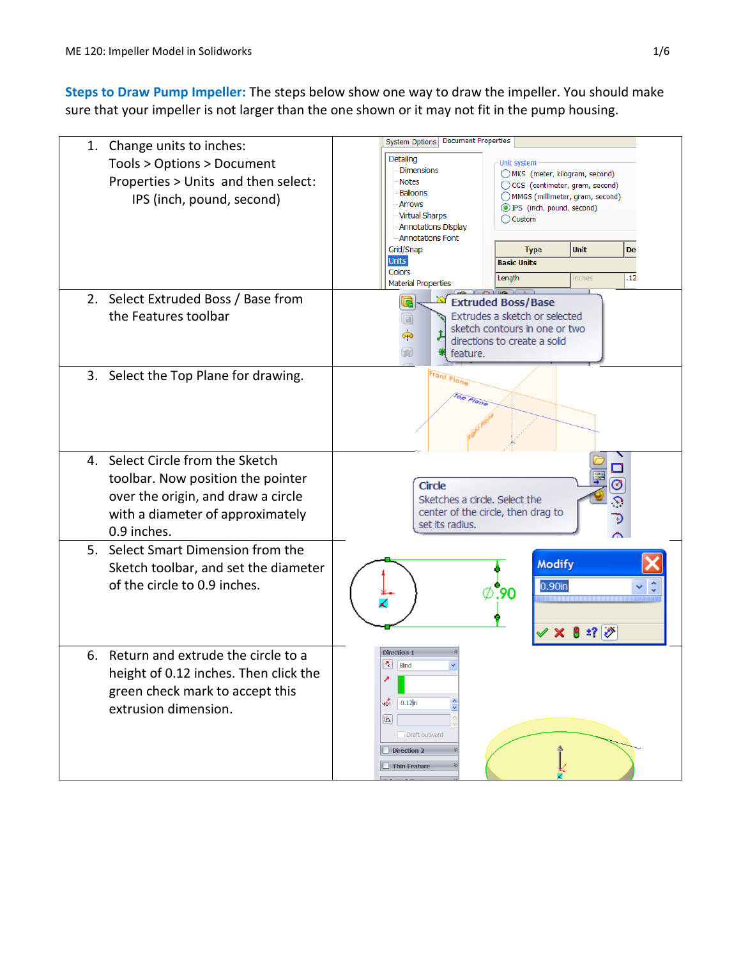**Steps to Draw Pump Impeller:** The steps below show one way to draw the impeller. You should make sure that your impeller is not larger than the one shown or it may not fit in the pump housing.

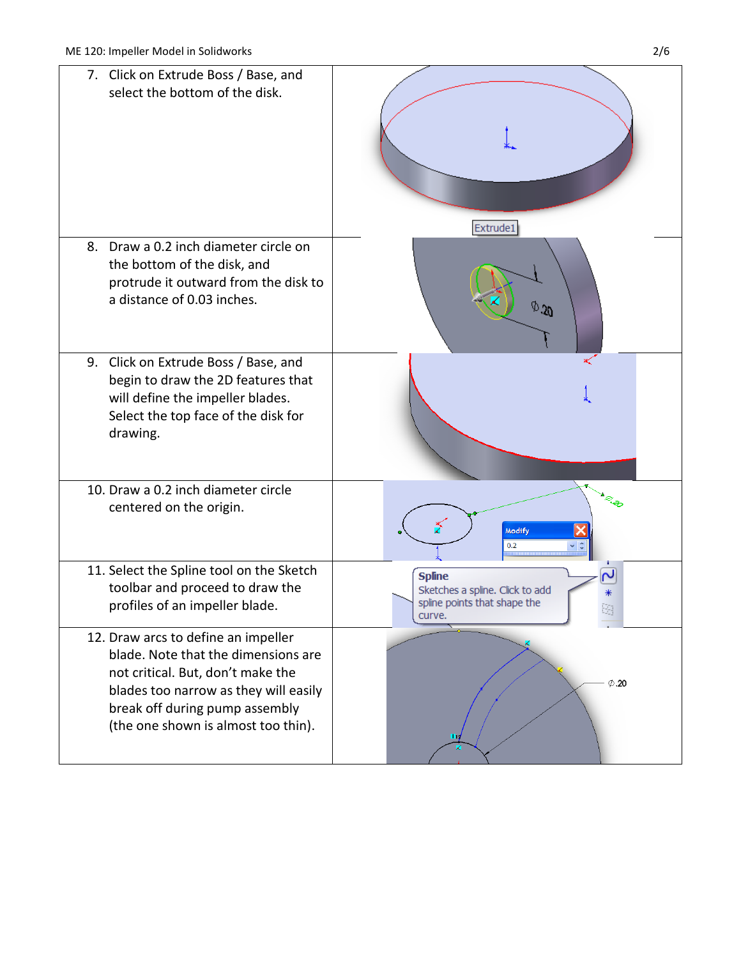| 7. Click on Extrude Boss / Base, and<br>select the bottom of the disk.                                                                                                                                                            |                                                                                            |
|-----------------------------------------------------------------------------------------------------------------------------------------------------------------------------------------------------------------------------------|--------------------------------------------------------------------------------------------|
| 8. Draw a 0.2 inch diameter circle on                                                                                                                                                                                             | Extrude1                                                                                   |
| the bottom of the disk, and<br>protrude it outward from the disk to<br>a distance of 0.03 inches.                                                                                                                                 | $\phi$ 30                                                                                  |
| 9. Click on Extrude Boss / Base, and<br>begin to draw the 2D features that<br>will define the impeller blades.<br>Select the top face of the disk for<br>drawing.                                                                 |                                                                                            |
| 10. Draw a 0.2 inch diameter circle<br>centered on the origin.                                                                                                                                                                    | Modify<br>0.2                                                                              |
| 11. Select the Spline tool on the Sketch<br>toolbar and proceed to draw the<br>profiles of an impeller blade.                                                                                                                     | <b>Spline</b><br>Sketches a spline. Click to add<br>spline points that shape the<br>curve. |
| 12. Draw arcs to define an impeller<br>blade. Note that the dimensions are<br>not critical. But, don't make the<br>blades too narrow as they will easily<br>break off during pump assembly<br>(the one shown is almost too thin). | $\emptyset$ .20                                                                            |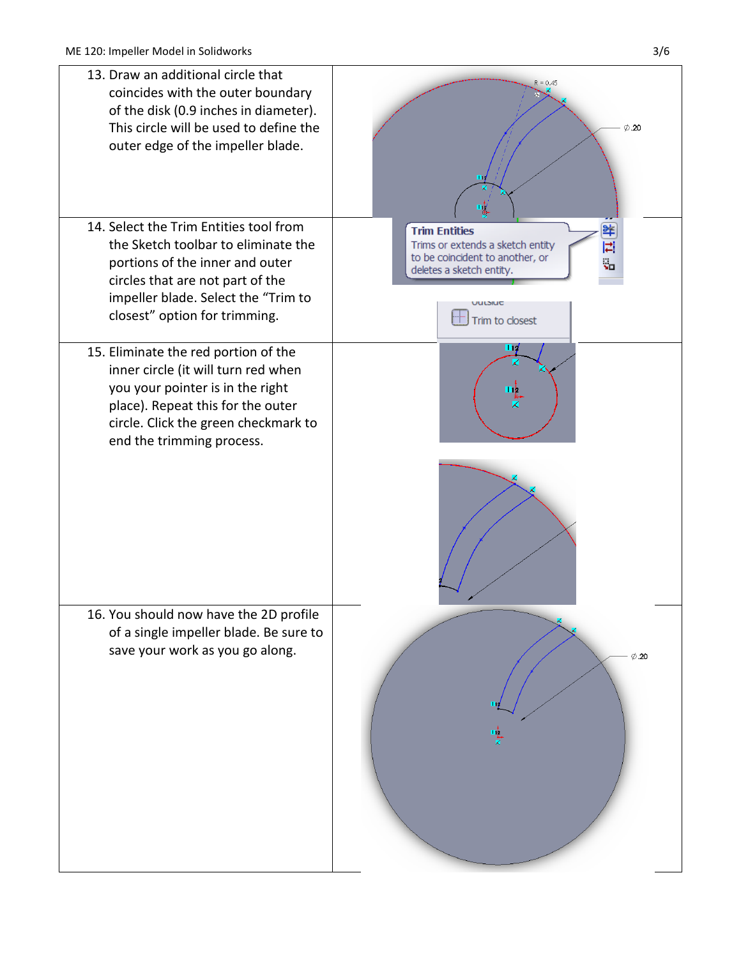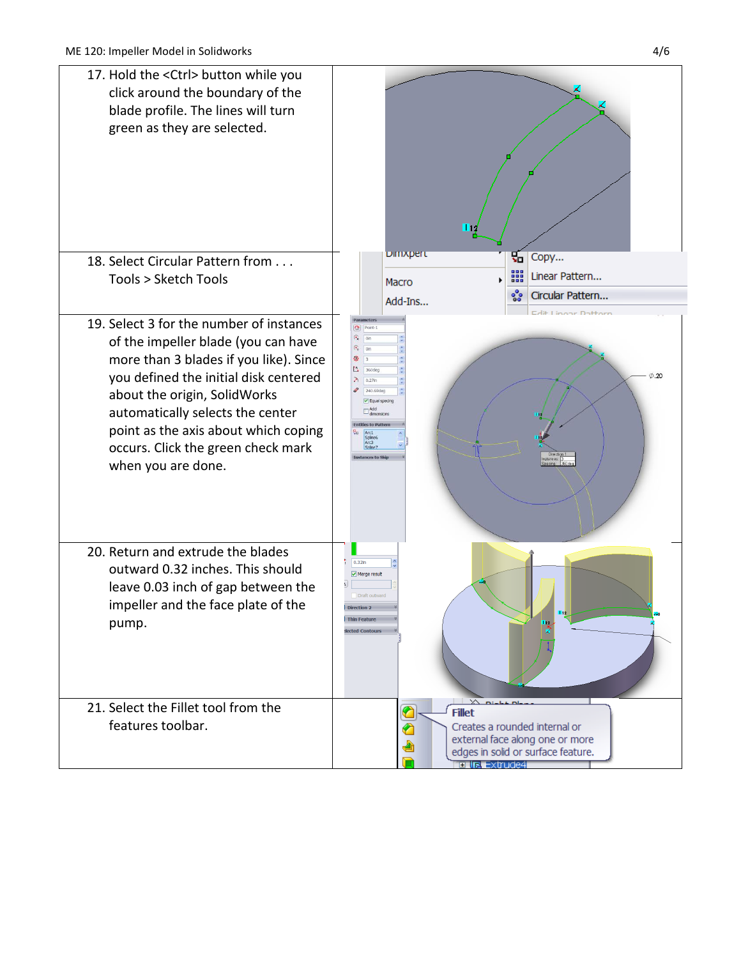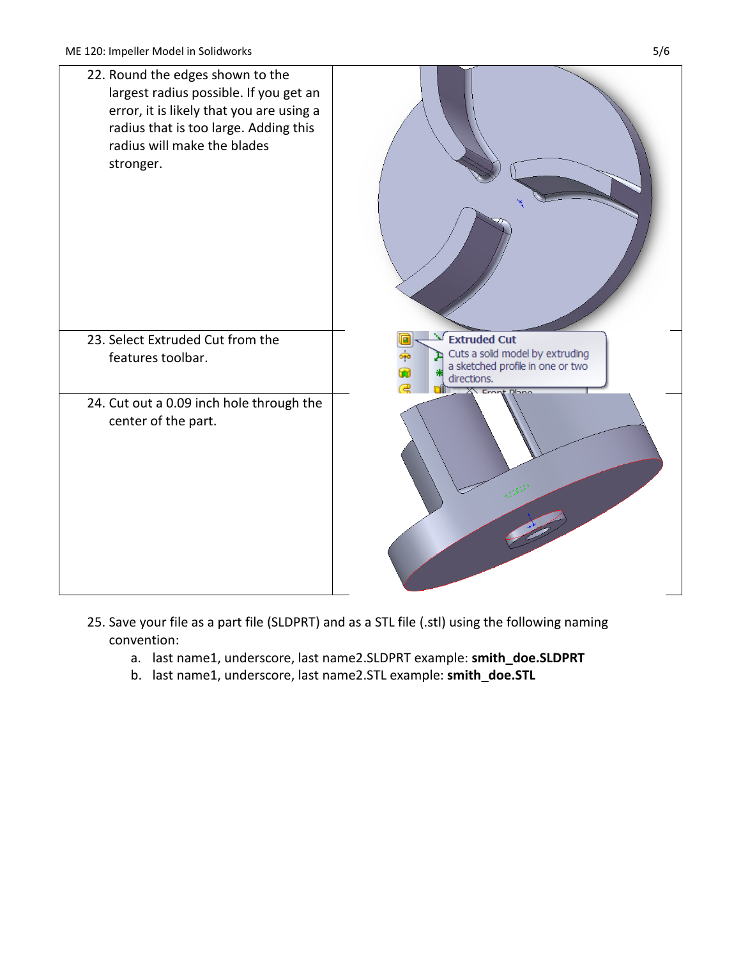

- 25. Save your file as a part file (SLDPRT) and as a STL file (.stl) using the following naming convention:
	- a. last name1, underscore, last name2.SLDPRT example: **smith\_doe.SLDPRT**
	- b. last name1, underscore, last name2.STL example: **smith\_doe.STL**